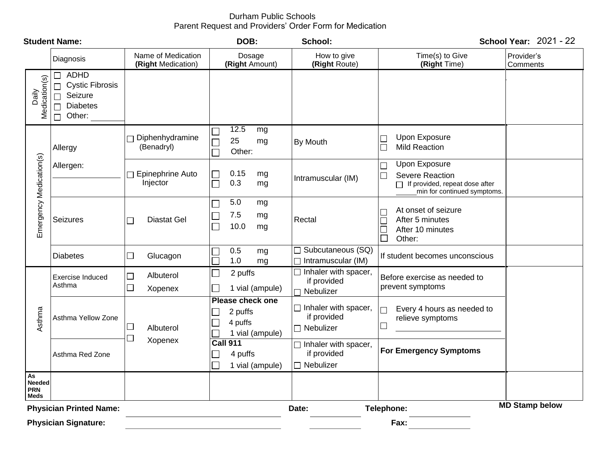# Durham Public Schools Parent Request and Providers' Order Form for Medication

| <b>Student Name:</b>                                                           |                                                                                                        |                                                          | DOB:                                                                         | School:                                                            |                                                                                                                           | <b>School Year: 2021 - 22</b> |
|--------------------------------------------------------------------------------|--------------------------------------------------------------------------------------------------------|----------------------------------------------------------|------------------------------------------------------------------------------|--------------------------------------------------------------------|---------------------------------------------------------------------------------------------------------------------------|-------------------------------|
|                                                                                | Diagnosis                                                                                              | Name of Medication<br>(Right Medication)                 | Dosage<br>(Right Amount)                                                     | How to give<br>(Right Route)                                       | Time(s) to Give<br>(Right Time)                                                                                           | Provider's<br>Comments        |
| Daily<br>Medication(s)                                                         | <b>ADHD</b><br><b>Cystic Fibrosis</b><br>$\Box$<br>Seizure<br>$\Box$<br><b>Diabetes</b><br>Other:<br>П |                                                          |                                                                              |                                                                    |                                                                                                                           |                               |
| Emergency Medication(s)                                                        | Allergy                                                                                                | Diphenhydramine<br>П<br>(Benadryl)                       | 12.5<br>mg<br>25<br>mg<br>Other:                                             | By Mouth                                                           | Upon Exposure<br><b>Mild Reaction</b>                                                                                     |                               |
|                                                                                | Allergen:                                                                                              | Epinephrine Auto<br>$\overline{\phantom{a}}$<br>Injector | 0.15<br>mg<br>0.3<br>Г<br>mg                                                 | Intramuscular (IM)                                                 | <b>Upon Exposure</b><br><b>Severe Reaction</b><br>$\Box$<br>If provided, repeat dose after<br>min for continued symptoms. |                               |
|                                                                                | Seizures                                                                                               | <b>Diastat Gel</b><br>$\Box$                             | 5.0<br>mg<br>7.5<br>mg<br>10.0<br>mg                                         | Rectal                                                             | At onset of seizure<br>After 5 minutes<br>After 10 minutes<br>$\Box$<br>$\Box$<br>Other:                                  |                               |
|                                                                                | <b>Diabetes</b>                                                                                        | Glucagon<br>$\Box$                                       | 0.5<br>mg<br>1.0<br>mg                                                       | $\Box$ Subcutaneous (SQ)<br>Intramuscular (IM)                     | If student becomes unconscious                                                                                            |                               |
| Asthma                                                                         | <b>Exercise Induced</b><br>Asthma                                                                      | Albuterol<br>$\Box$<br>$\Box$<br>Xopenex                 | 2 puffs<br>$\mathcal{L}_{\mathcal{A}}$<br>1 vial (ampule)                    | $\overline{\Box}$ Inhaler with spacer,<br>if provided<br>Nebulizer | Before exercise as needed to<br>prevent symptoms                                                                          |                               |
|                                                                                | Asthma Yellow Zone                                                                                     | $\Box$<br>Albuterol<br>$\Box$                            | <b>Please check one</b><br>2 puffs<br>M.<br>4 puffs<br>1 vial (ampule)       | $\Box$ Inhaler with spacer,<br>if provided<br>$\Box$ Nebulizer     | Every 4 hours as needed to<br>relieve symptoms<br>$\overline{\phantom{a}}$                                                |                               |
|                                                                                | Asthma Red Zone                                                                                        | Xopenex                                                  | <b>Call 911</b><br>4 puffs<br>$\mathcal{L}_{\mathcal{A}}$<br>1 vial (ampule) | $\Box$ Inhaler with spacer,<br>if provided<br>$\Box$ Nebulizer     | <b>For Emergency Symptoms</b>                                                                                             |                               |
| $\mathsf{As}$<br><b>Needed</b><br><b>PRN</b><br>Meds                           |                                                                                                        |                                                          |                                                                              |                                                                    |                                                                                                                           |                               |
| <b>MD Stamp below</b><br><b>Physician Printed Name:</b><br>Telephone:<br>Date: |                                                                                                        |                                                          |                                                                              |                                                                    |                                                                                                                           |                               |
| <b>Physician Signature:</b><br>Fax:                                            |                                                                                                        |                                                          |                                                                              |                                                                    |                                                                                                                           |                               |